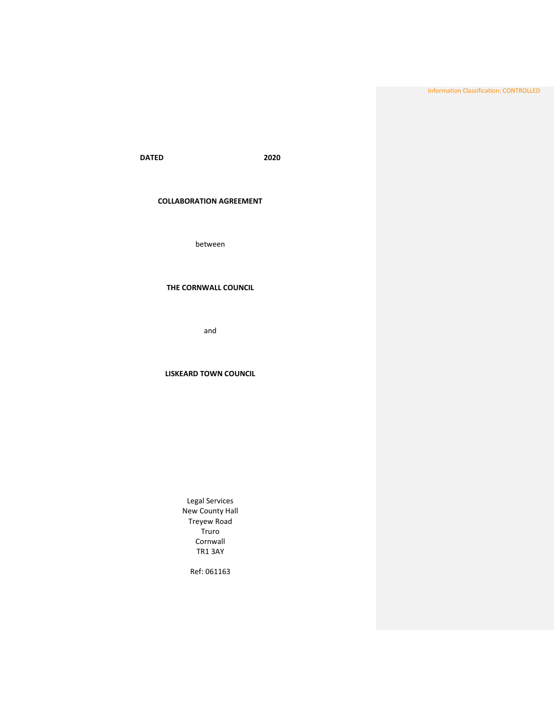Information Classification: CONTROLLED

**DATED 2020**

# **COLLABORATION AGREEMENT**

between

# **THE CORNWALL COUNCIL**

and

# **LISKEARD TOWN COUNCIL**

Legal Services New County Hall Treyew Road Truro Cornwall TR1 3AY

Ref: 061163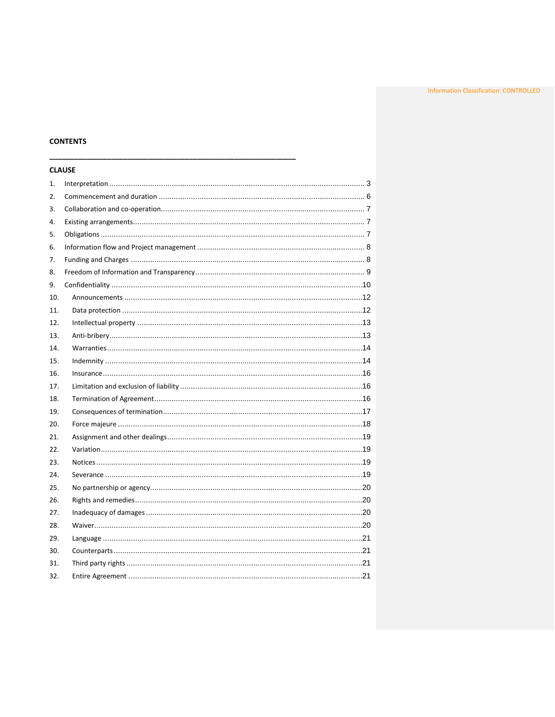# **CONTENTS**

|     | <b>CLAUSE</b> |  |
|-----|---------------|--|
| 1.  |               |  |
| 2.  |               |  |
| 3.  |               |  |
| 4.  |               |  |
| 5.  |               |  |
| 6.  |               |  |
| 7.  |               |  |
| 8.  |               |  |
| 9.  |               |  |
| 10. |               |  |
| 11. |               |  |
| 12. |               |  |
| 13. |               |  |
| 14. |               |  |
| 15. |               |  |
| 16. |               |  |
| 17. |               |  |
| 18. |               |  |
| 19. |               |  |
| 20. |               |  |
| 21. |               |  |
| 22. |               |  |
| 23. |               |  |
| 24. |               |  |
| 25. |               |  |
| 26. |               |  |
| 27. |               |  |
| 28. |               |  |
| 29. |               |  |
| 30. |               |  |
| 31. |               |  |
| 32. |               |  |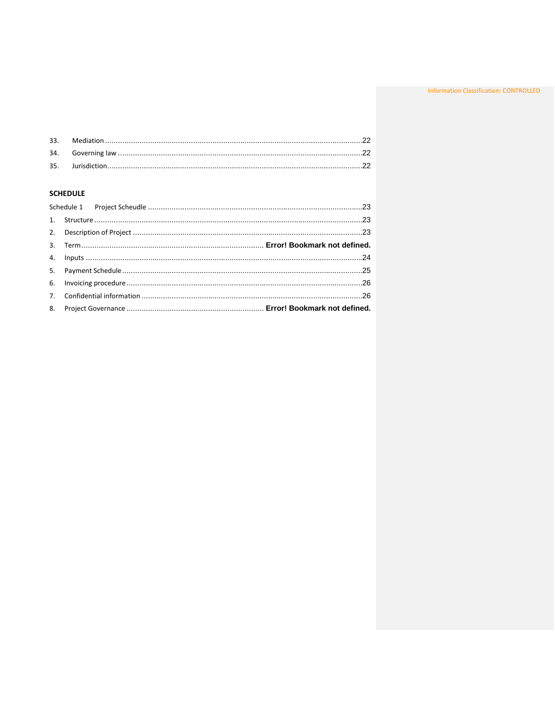# **SCHEDULE**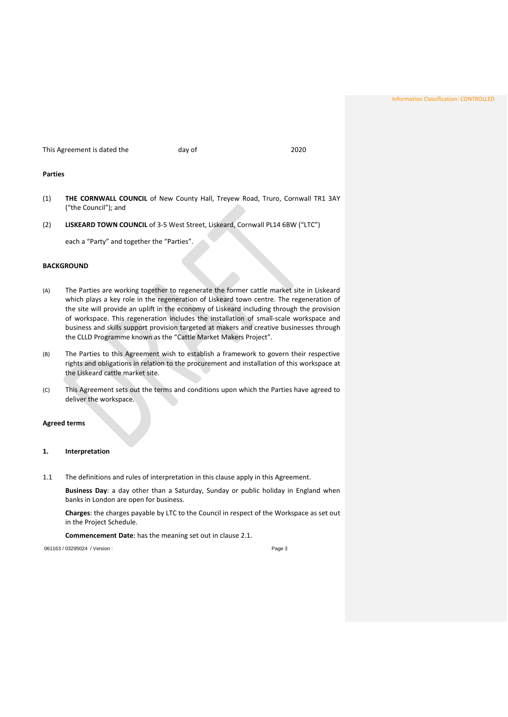Information Classification: CONTROLLED

This Agreement is dated the day of 2020

### **Parties**

- (1) **THE CORNWALL COUNCIL** of New County Hall, Treyew Road, Truro, Cornwall TR1 3AY ("the Council"); and
- (2) **LISKEARD TOWN COUNCIL** of 3-5 West Street, Liskeard, Cornwall PL14 6BW ("LTC")

each a "Party" and together the "Parties".

# **BACKGROUND**

- (A) The Parties are working together to regenerate the former cattle market site in Liskeard which plays a key role in the regeneration of Liskeard town centre. The regeneration of the site will provide an uplift in the economy of Liskeard including through the provision of workspace. This regeneration includes the installation of small-scale workspace and business and skills support provision targeted at makers and creative businesses through the CLLD Programme known as the "Cattle Market Makers Project".
- (B) The Parties to this Agreement wish to establish a framework to govern their respective rights and obligations in relation to the procurement and installation of this workspace at the Liskeard cattle market site.
- <span id="page-3-0"></span>(C) This Agreement sets out the terms and conditions upon which the Parties have agreed to deliver the workspace.

### **Agreed terms**

## <span id="page-3-1"></span>**1. Interpretation**

1.1 The definitions and rules of interpretation in this clause apply in this Agreement.

**Business Day**: a day other than a Saturday, Sunday or public holiday in England when banks in London are open for business.

**Charges**: the charges payable by LTC to the Council in respect of the Workspace as set out in the Project Schedule.

**Commencement Date**: has the meaning set out in clause [2.1.](#page-6-1)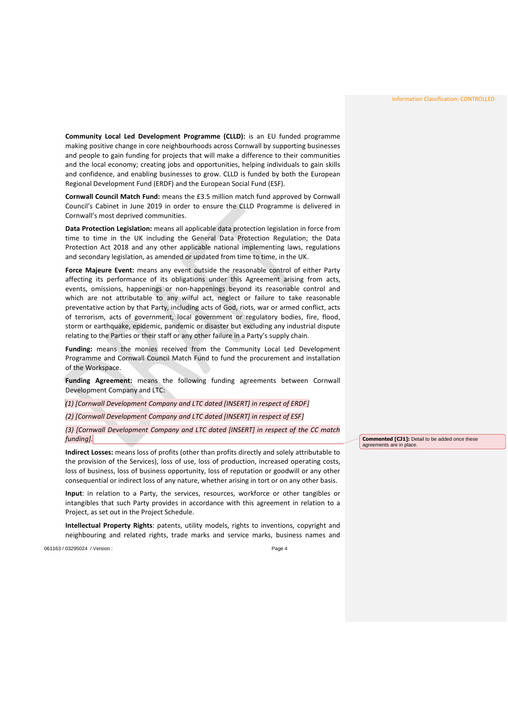**Community Local Led Development Programme (CLLD):** is an EU funded programme making positive change in core neighbourhoods across Cornwall by supporting businesses and people to gain funding for projects that will make a difference to their communities and the local economy; creating jobs and opportunities, helping individuals to gain skills and confidence, and enabling businesses to grow. CLLD is funded by both the European Regional Development Fund (ERDF) and the European Social Fund (ESF).

**Cornwall Council Match Fund:** means the £3.5 million match fund approved by Cornwall Council's Cabinet in June 2019 in order to ensure the CLLD Programme is delivered in Cornwall's most deprived communities.

**Data Protection Legislation:** means all applicable data protection legislation in force from time to time in the UK including the General Data Protection Regulation; the Data Protection Act 2018 and any other applicable national implementing laws, regulations and secondary legislation, as amended or updated from time to time, in the UK.

**Force Majeure Event:** means any event outside the reasonable control of either Party affecting its performance of its obligations under this Agreement arising from acts, events, omissions, happenings or non-happenings beyond its reasonable control and which are not attributable to any wilful act, neglect or failure to take reasonable preventative action by that Party, including acts of God, riots, war or armed conflict, acts of terrorism, acts of government, local government or regulatory bodies, fire, flood, storm or earthquake, epidemic, pandemic or disaster but excluding any industrial dispute relating to the Parties or their staff or any other failure in a Party's supply chain.

**Funding:** means the monies received from the Community Local Led Development Programme and Cornwall Council Match Fund to fund the procurement and installation of the Workspace.

**Funding Agreement:** means the following funding agreements between Cornwall Development Company and LTC:

*(1) [Cornwall Development Company and LTC dated [INSERT] in respect of ERDF]*

*(2) [Cornwall Development Company and LTC dated [INSERT] in respect of ESF]*

*(3) [Cornwall Development Company and LTC dated [INSERT] in respect of the CC match funding].*

**Indirect Losses:** means loss of profits (other than profits directly and solely attributable to the provision of the Services), loss of use, loss of production, increased operating costs, loss of business, loss of business opportunity, loss of reputation or goodwill or any other consequential or indirect loss of any nature, whether arising in tort or on any other basis.

**Input**: in relation to a Party, the services, resources, workforce or other tangibles or intangibles that such Party provides in accordance with this agreement in relation to a Project, as set out in the Project Schedule.

**Intellectual Property Rights**: patents, utility models, rights to inventions, copyright and neighbouring and related rights, trade marks and service marks, business names and

061163 / 03295024 / Version : Page 4

**Commented [CJ1]:** Detail to be added once these agreements are in place.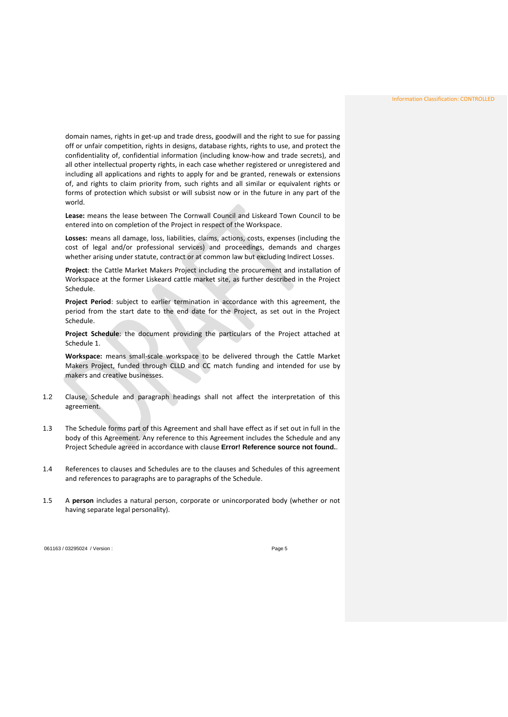domain names, rights in get-up and trade dress, goodwill and the right to sue for passing off or unfair competition, rights in designs, database rights, rights to use, and protect the confidentiality of, confidential information (including know-how and trade secrets), and all other intellectual property rights, in each case whether registered or unregistered and including all applications and rights to apply for and be granted, renewals or extensions of, and rights to claim priority from, such rights and all similar or equivalent rights or forms of protection which subsist or will subsist now or in the future in any part of the world.

**Lease:** means the lease between The Cornwall Council and Liskeard Town Council to be entered into on completion of the Project in respect of the Workspace.

**Losses:** means all damage, loss, liabilities, claims, actions, costs, expenses (including the cost of legal and/or professional services) and proceedings, demands and charges whether arising under statute, contract or at common law but excluding Indirect Losses.

**Project**: the Cattle Market Makers Project including the procurement and installation of Workspace at the former Liskeard cattle market site, as further described in the Project Schedule.

**Project Period**: subject to earlier termination in accordance with this agreement, the period from the start date to the end date for the Project, as set out in the Project Schedule.

**Project Schedule**: the document providing the particulars of the Project attached at Schedule 1.

**Workspace:** means small-scale workspace to be delivered through the Cattle Market Makers Project, funded through CLLD and CC match funding and intended for use by makers and creative businesses.

- 1.2 Clause, Schedule and paragraph headings shall not affect the interpretation of this agreement.
- 1.3 The Schedule forms part of this Agreement and shall have effect as if set out in full in the body of this Agreement. Any reference to this Agreement includes the Schedule and any Project Schedule agreed in accordance with clause **Error! Reference source not found.**.
- 1.4 References to clauses and Schedules are to the clauses and Schedules of this agreement and references to paragraphs are to paragraphs of the Schedule.
- 1.5 A **person** includes a natural person, corporate or unincorporated body (whether or not having separate legal personality).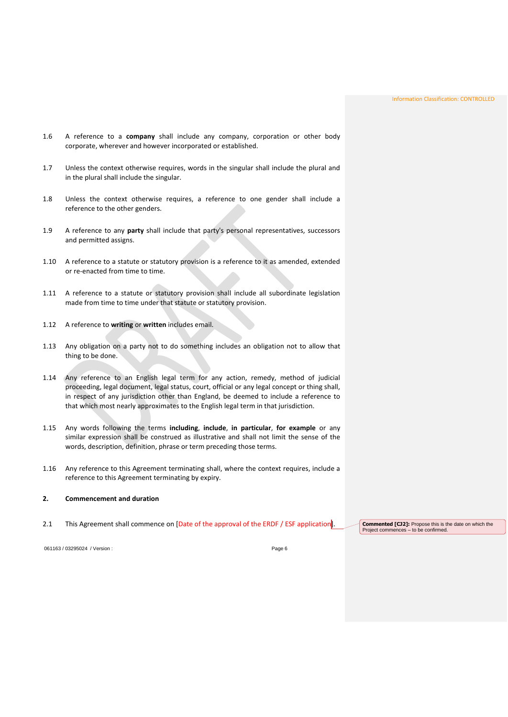- 1.6 A reference to a **company** shall include any company, corporation or other body corporate, wherever and however incorporated or established.
- 1.7 Unless the context otherwise requires, words in the singular shall include the plural and in the plural shall include the singular.
- 1.8 Unless the context otherwise requires, a reference to one gender shall include a reference to the other genders.
- 1.9 A reference to any **party** shall include that party's personal representatives, successors and permitted assigns.
- 1.10 A reference to a statute or statutory provision is a reference to it as amended, extended or re-enacted from time to time.
- 1.11 A reference to a statute or statutory provision shall include all subordinate legislation made from time to time under that statute or statutory provision.
- 1.12 A reference to **writing** or **written** includes email.
- 1.13 Any obligation on a party not to do something includes an obligation not to allow that thing to be done.
- 1.14 Any reference to an English legal term for any action, remedy, method of judicial proceeding, legal document, legal status, court, official or any legal concept or thing shall, in respect of any jurisdiction other than England, be deemed to include a reference to that which most nearly approximates to the English legal term in that jurisdiction.
- <span id="page-6-0"></span>1.15 Any words following the terms **including**, **include**, **in particular**, **for example** or any similar expression shall be construed as illustrative and shall not limit the sense of the words, description, definition, phrase or term preceding those terms.
- 1.16 Any reference to this Agreement terminating shall, where the context requires, include a reference to this Agreement terminating by expiry.

## **2. Commencement and duration**

<span id="page-6-1"></span>2.1 This Agreement shall commence on [Date of the approval of the ERDF / ESF application<sup>]</sup>. Commented [CJ2]: Propose this is the date on which the

Project commences – to be confirmed.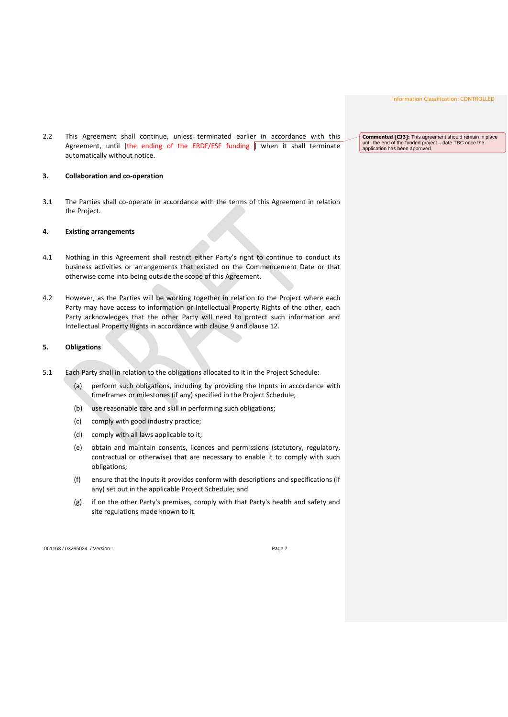<span id="page-7-0"></span>2.2 This Agreement shall continue, unless terminated earlier in accordance with this Agreement, until [the ending of the ERDF/ESF funding  $\parallel$  when it shall terminate automatically without notice.

#### <span id="page-7-1"></span>**3. Collaboration and co-operation**

3.1 The Parties shall co-operate in accordance with the terms of this Agreement in relation the Project.

## **4. Existing arrangements**

- 4.1 Nothing in this Agreement shall restrict either Party's right to continue to conduct its business activities or arrangements that existed on the Commencement Date or that otherwise come into being outside the scope of this Agreement.
- <span id="page-7-2"></span>4.2 However, as the Parties will be working together in relation to the Project where each Party may have access to information or Intellectual Property Rights of the other, each Party acknowledges that the other Party will need to protect such information and Intellectual Property Rights in accordance with clause [9](#page-10-1) and clause [12.](#page-13-2)

#### **5. Obligations**

- <span id="page-7-3"></span>5.1 Each Party shall in relation to the obligations allocated to it in the Project Schedule:
	- (a) perform such obligations, including by providing the Inputs in accordance with timeframes or milestones (if any) specified in the Project Schedule;
	- (b) use reasonable care and skill in performing such obligations;
	- (c) comply with good industry practice;
	- (d) comply with all laws applicable to it;
	- (e) obtain and maintain consents, licences and permissions (statutory, regulatory, contractual or otherwise) that are necessary to enable it to comply with such obligations;
	- (f) ensure that the Inputs it provides conform with descriptions and specifications (if any) set out in the applicable Project Schedule; and
	- (g) if on the other Party's premises, comply with that Party's health and safety and site regulations made known to it.

061163 / 03295024 / Version : Page 7

**Commented [CJ3]:** This agreement should remain in place until the end of the funded project – date TBC once the application has been approved.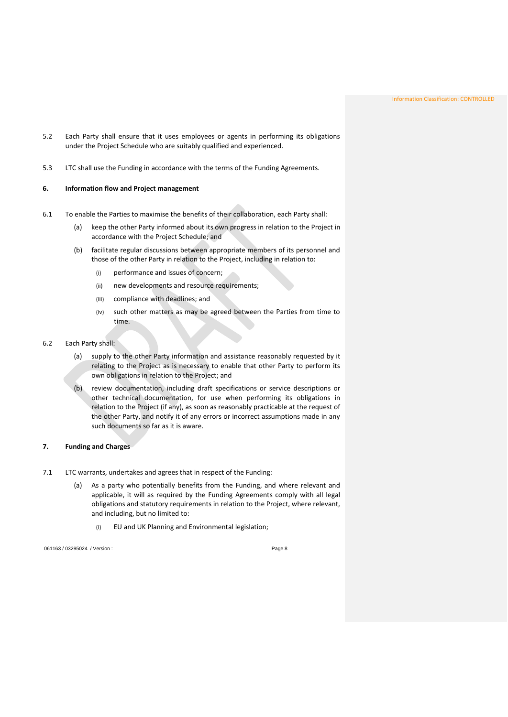- <span id="page-8-0"></span>5.2 Each Party shall ensure that it uses employees or agents in performing its obligations under the Project Schedule who are suitably qualified and experienced.
- 5.3 LTC shall use the Funding in accordance with the terms of the Funding Agreements.

### **6. Information flow and Project management**

- 6.1 To enable the Parties to maximise the benefits of their collaboration, each Party shall:
	- (a) keep the other Party informed about its own progress in relation to the Project in accordance with the Project Schedule; and
	- (b) facilitate regular discussions between appropriate members of its personnel and those of the other Party in relation to the Project, including in relation to:
		- (i) performance and issues of concern;
		- (ii) new developments and resource requirements;
		- (iii) compliance with deadlines; and
		- (iv) such other matters as may be agreed between the Parties from time to time.
- <span id="page-8-1"></span>6.2 Each Party shall:
	- (a) supply to the other Party information and assistance reasonably requested by it relating to the Project as is necessary to enable that other Party to perform its own obligations in relation to the Project; and
	- (b) review documentation, including draft specifications or service descriptions or other technical documentation, for use when performing its obligations in relation to the Project (if any), as soon as reasonably practicable at the request of the other Party, and notify it of any errors or incorrect assumptions made in any such documents so far as it is aware.

### **7. Funding and Charges**

- 7.1 LTC warrants, undertakes and agrees that in respect of the Funding:
	- (a) As a party who potentially benefits from the Funding, and where relevant and applicable, it will as required by the Funding Agreements comply with all legal obligations and statutory requirements in relation to the Project, where relevant, and including, but no limited to:
		- (i) EU and UK Planning and Environmental legislation;

061163 / 03295024 / Version : exercise 3 and 2010 10 and 2010 10:00 10:00 10:00 Page 8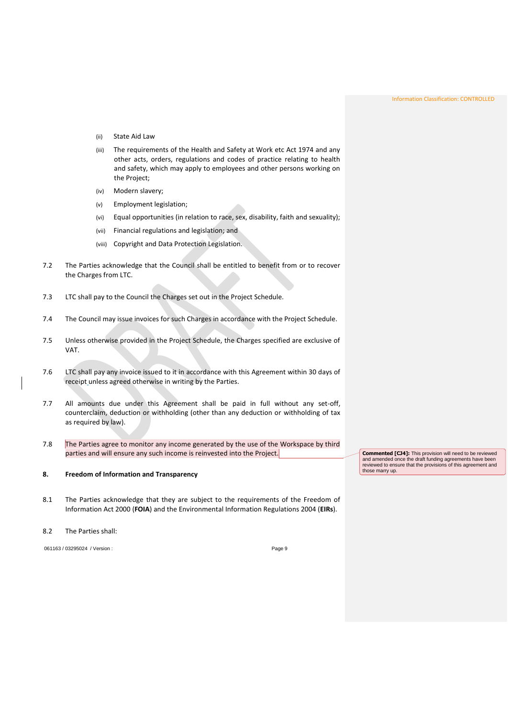- (ii) State Aid Law
- (iii) The requirements of the Health and Safety at Work etc Act 1974 and any other acts, orders, regulations and codes of practice relating to health and safety, which may apply to employees and other persons working on the Project;
- (iv) Modern slavery;
- (v) Employment legislation;
- (vi) Equal opportunities (in relation to race, sex, disability, faith and sexuality);
- (vii) Financial regulations and legislation; and
- (viii) Copyright and Data Protection Legislation.
- 7.2 The Parties acknowledge that the Council shall be entitled to benefit from or to recover the Charges from LTC.
- 7.3 LTC shall pay to the Council the Charges set out in the Project Schedule.
- 7.4 The Council may issue invoices for such Charges in accordance with the Project Schedule.
- 7.5 Unless otherwise provided in the Project Schedule, the Charges specified are exclusive of VAT.
- 7.6 LTC shall pay any invoice issued to it in accordance with this Agreement within 30 days of receipt unless agreed otherwise in writing by the Parties.
- <span id="page-9-0"></span>7.7 All amounts due under this Agreement shall be paid in full without any set-off, counterclaim, deduction or withholding (other than any deduction or withholding of tax as required by law).
- 7.8 The Parties agree to monitor any income generated by the use of the Workspace by third parties and will ensure any such income is reinvested into the Project.

## **8. Freedom of Information and Transparency**

8.1 The Parties acknowledge that they are subject to the requirements of the Freedom of Information Act 2000 (**FOIA**) and the Environmental Information Regulations 2004 (**EIRs**).

#### 8.2 The Parties shall:

061163 / 03295024 / Version : Page 9

**Commented [CJ4]:** This provision will need to be reviewed and amended once the draft funding agreements have been reviewed to ensure that the provisions of this agreement and those marry up.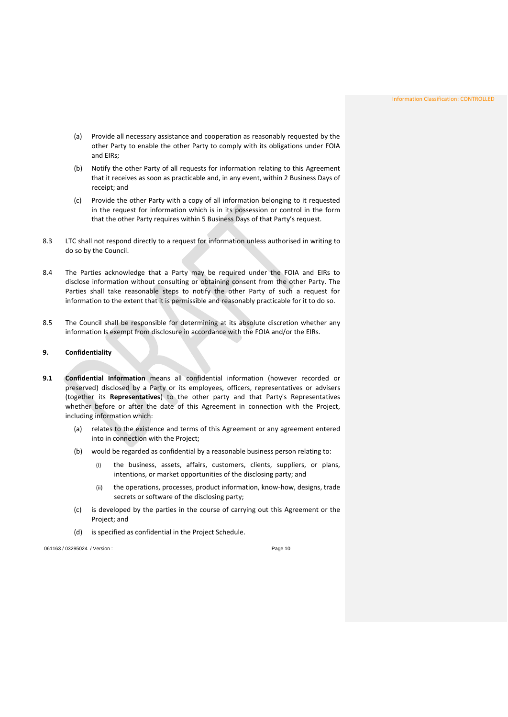- (a) Provide all necessary assistance and cooperation as reasonably requested by the other Party to enable the other Party to comply with its obligations under FOIA and EIRs;
- (b) Notify the other Party of all requests for information relating to this Agreement that it receives as soon as practicable and, in any event, within 2 Business Days of receipt; and
- (c) Provide the other Party with a copy of all information belonging to it requested in the request for information which is in its possession or control in the form that the other Party requires within 5 Business Days of that Party's request.
- 8.3 LTC shall not respond directly to a request for information unless authorised in writing to do so by the Council.
- <span id="page-10-0"></span>8.4 The Parties acknowledge that a Party may be required under the FOIA and EIRs to disclose information without consulting or obtaining consent from the other Party. The Parties shall take reasonable steps to notify the other Party of such a request for information to the extent that it is permissible and reasonably practicable for it to do so.
- 8.5 The Council shall be responsible for determining at its absolute discretion whether any information Is exempt from disclosure in accordance with the FOIA and/or the EIRs.

### <span id="page-10-1"></span>**9. Confidentiality**

- **9.1 Confidential Information** means all confidential information (however recorded or preserved) disclosed by a Party or its employees, officers, representatives or advisers (together its **Representatives**) to the other party and that Party's Representatives whether before or after the date of this Agreement in connection with the Project, including information which:
	- (a) relates to the existence and terms of this Agreement or any agreement entered into in connection with the Project;
	- (b) would be regarded as confidential by a reasonable business person relating to:
		- (i) the business, assets, affairs, customers, clients, suppliers, or plans, intentions, or market opportunities of the disclosing party; and
		- (ii) the operations, processes, product information, know-how, designs, trade secrets or software of the disclosing party;
	- (c) is developed by the parties in the course of carrying out this Agreement or the Project; and
	- (d) is specified as confidential in the Project Schedule.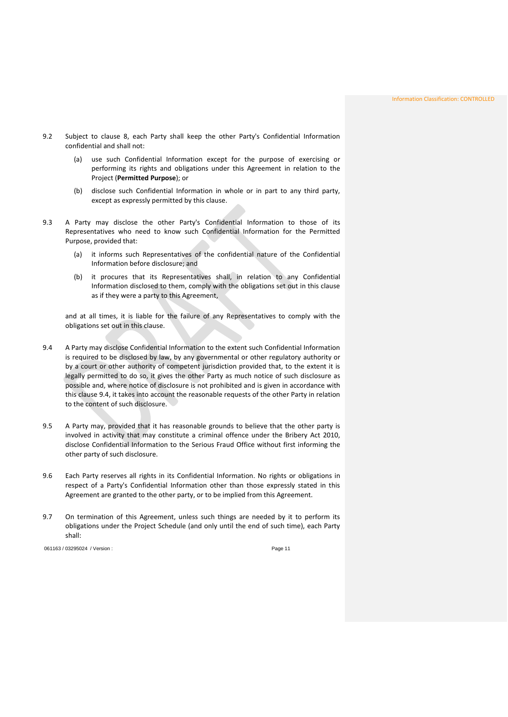- 9.2 Subject to clause 8, each Party shall keep the other Party's Confidential Information confidential and shall not:
	- (a) use such Confidential Information except for the purpose of exercising or performing its rights and obligations under this Agreement in relation to the Project (**Permitted Purpose**); or
	- (b) disclose such Confidential Information in whole or in part to any third party, except as expressly permitted by this clause.
- 9.3 A Party may disclose the other Party's Confidential Information to those of its Representatives who need to know such Confidential Information for the Permitted Purpose, provided that:
	- (a) it informs such Representatives of the confidential nature of the Confidential Information before disclosure; and
	- (b) it procures that its Representatives shall, in relation to any Confidential Information disclosed to them, comply with the obligations set out in this clause as if they were a party to this Agreement,

and at all times, it is liable for the failure of any Representatives to comply with the obligations set out in this clause.

- <span id="page-11-0"></span>9.4 A Party may disclose Confidential Information to the extent such Confidential Information is required to be disclosed by law, by any governmental or other regulatory authority or by a court or other authority of competent jurisdiction provided that, to the extent it is legally permitted to do so, it gives the other Party as much notice of such disclosure as possible and, where notice of disclosure is not prohibited and is given in accordance with this clause [9.4,](#page-11-0) it takes into account the reasonable requests of the other Party in relation to the content of such disclosure.
- 9.5 A Party may, provided that it has reasonable grounds to believe that the other party is involved in activity that may constitute a criminal offence under the Bribery Act 2010, disclose Confidential Information to the Serious Fraud Office without first informing the other party of such disclosure.
- 9.6 Each Party reserves all rights in its Confidential Information. No rights or obligations in respect of a Party's Confidential Information other than those expressly stated in this Agreement are granted to the other party, or to be implied from this Agreement.
- 9.7 On termination of this Agreement, unless such things are needed by it to perform its obligations under the Project Schedule (and only until the end of such time), each Party shall: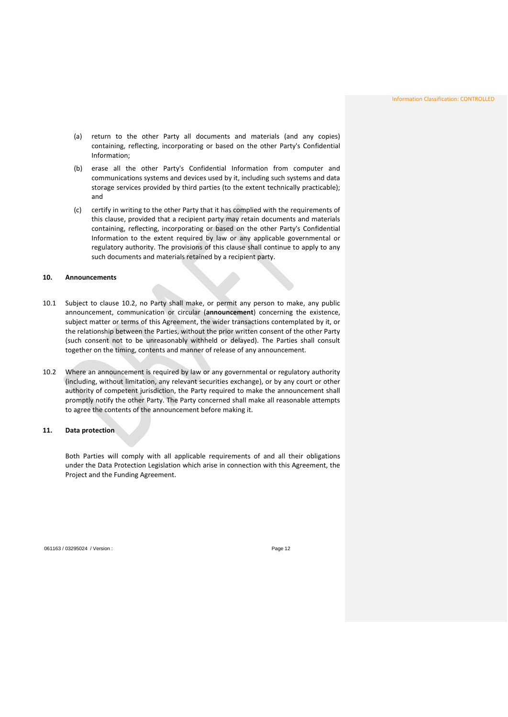- (a) return to the other Party all documents and materials (and any copies) containing, reflecting, incorporating or based on the other Party's Confidential Information;
- (b) erase all the other Party's Confidential Information from computer and communications systems and devices used by it, including such systems and data storage services provided by third parties (to the extent technically practicable); and
- <span id="page-12-0"></span>(c) certify in writing to the other Party that it has complied with the requirements of this clause, provided that a recipient party may retain documents and materials containing, reflecting, incorporating or based on the other Party's Confidential Information to the extent required by law or any applicable governmental or regulatory authority. The provisions of this clause shall continue to apply to any such documents and materials retained by a recipient party.

### **10. Announcements**

- 10.1 Subject to clause [10.2,](#page-12-2) no Party shall make, or permit any person to make, any public announcement, communication or circular (**announcement**) concerning the existence, subject matter or terms of this Agreement, the wider transactions contemplated by it, or the relationship between the Parties, without the prior written consent of the other Party (such consent not to be unreasonably withheld or delayed). The Parties shall consult together on the timing, contents and manner of release of any announcement.
- <span id="page-12-2"></span><span id="page-12-1"></span>10.2 Where an announcement is required by law or any governmental or regulatory authority (including, without limitation, any relevant securities exchange), or by any court or other authority of competent jurisdiction, the Party required to make the announcement shall promptly notify the other Party. The Party concerned shall make all reasonable attempts to agree the contents of the announcement before making it.

#### **11. Data protection**

Both Parties will comply with all applicable requirements of and all their obligations under the Data Protection Legislation which arise in connection with this Agreement, the Project and the Funding Agreement.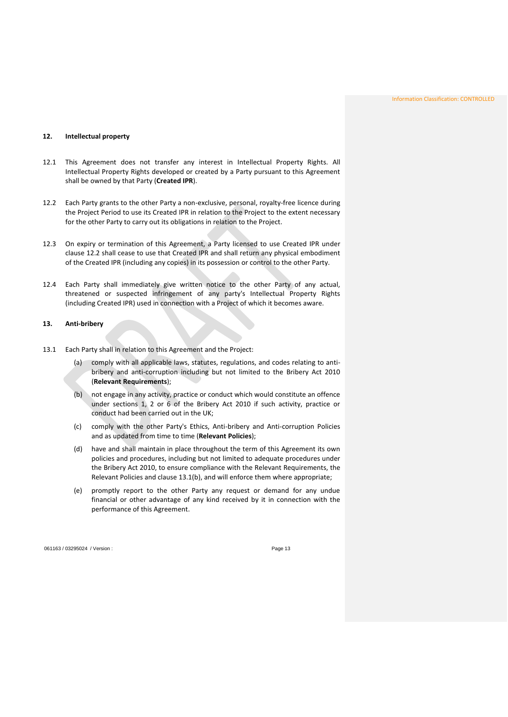## <span id="page-13-2"></span><span id="page-13-0"></span>**12. Intellectual property**

- 12.1 This Agreement does not transfer any interest in Intellectual Property Rights. All Intellectual Property Rights developed or created by a Party pursuant to this Agreement shall be owned by that Party (**Created IPR**).
- <span id="page-13-3"></span>12.2 Each Party grants to the other Party a non-exclusive, personal, royalty-free licence during the Project Period to use its Created IPR in relation to the Project to the extent necessary for the other Party to carry out its obligations in relation to the Project.
- 12.3 On expiry or termination of this Agreement, a Party licensed to use Created IPR under clause [12.2](#page-13-3) shall cease to use that Created IPR and shall return any physical embodiment of the Created IPR (including any copies) in its possession or control to the other Party.
- <span id="page-13-1"></span>12.4 Each Party shall immediately give written notice to the other Party of any actual, threatened or suspected infringement of any party's Intellectual Property Rights (including Created IPR) used in connection with a Project of which it becomes aware.

### <span id="page-13-5"></span>**13. Anti-bribery**

- <span id="page-13-4"></span>13.1 Each Party shall in relation to this Agreement and the Project:
	- (a) comply with all applicable laws, statutes, regulations, and codes relating to antibribery and anti-corruption including but not limited to the Bribery Act 2010 (**Relevant Requirements**);
	- (b) not engage in any activity, practice or conduct which would constitute an offence under sections 1, 2 or 6 of the Bribery Act 2010 if such activity, practice or conduct had been carried out in the UK;
	- (c) comply with the other Party's Ethics, Anti-bribery and Anti-corruption Policies and as updated from time to time (**Relevant Policies**);
	- (d) have and shall maintain in place throughout the term of this Agreement its own policies and procedures, including but not limited to adequate procedures under the Bribery Act 2010, to ensure compliance with the Relevant Requirements, the Relevant Policies and clause [13.1\(b\),](#page-13-4) and will enforce them where appropriate;
	- (e) promptly report to the other Party any request or demand for any undue financial or other advantage of any kind received by it in connection with the performance of this Agreement.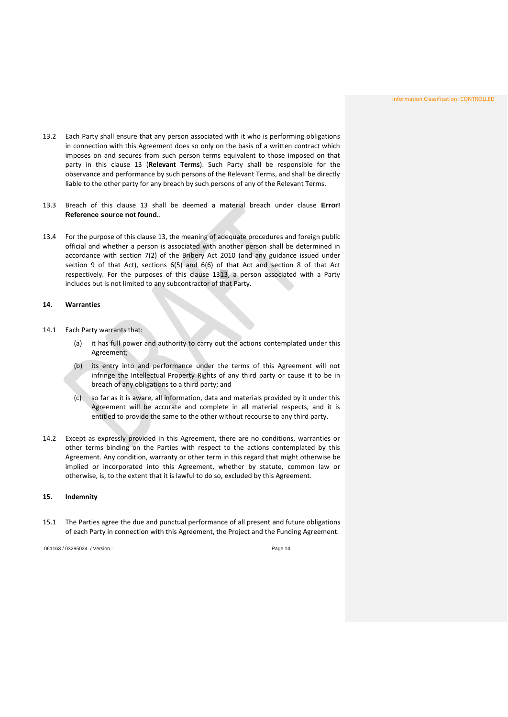- 13.2 Each Party shall ensure that any person associated with it who is performing obligations in connection with this Agreement does so only on the basis of a written contract which imposes on and secures from such person terms equivalent to those imposed on that party in this clause 13 (**Relevant Terms**). Such Party shall be responsible for the observance and performance by such persons of the Relevant Terms, and shall be directly liable to the other party for any breach by such persons of any of the Relevant Terms.
- 13.3 Breach of this clause 13 shall be deemed a material breach under clause **Error! Reference source not found.**.
- <span id="page-14-0"></span>13.4 For the purpose of this clause 13, the meaning of adequate procedures and foreign public official and whether a person is associated with another person shall be determined in accordance with section 7(2) of the Bribery Act 2010 (and any guidance issued under section 9 of that Act), sections 6(5) and 6(6) of that Act and section 8 of that Act respectively. For the purposes of this clause 1[313,](#page-13-5) a person associated with a Party includes but is not limited to any subcontractor of that Party.

### <span id="page-14-2"></span>**14. Warranties**

- <span id="page-14-3"></span>14.1 Each Party warrants that:
	- (a) it has full power and authority to carry out the actions contemplated under this Agreement;
	- (b) its entry into and performance under the terms of this Agreement will not infringe the Intellectual Property Rights of any third party or cause it to be in breach of any obligations to a third party; and
	- (c) so far as it is aware, all information, data and materials provided by it under this Agreement will be accurate and complete in all material respects, and it is entitled to provide the same to the other without recourse to any third party.
- <span id="page-14-4"></span><span id="page-14-1"></span>14.2 Except as expressly provided in this Agreement, there are no conditions, warranties or other terms binding on the Parties with respect to the actions contemplated by this Agreement. Any condition, warranty or other term in this regard that might otherwise be implied or incorporated into this Agreement, whether by statute, common law or otherwise, is, to the extent that it is lawful to do so, excluded by this Agreement.

# <span id="page-14-5"></span>**15. Indemnity**

15.1 The Parties agree the due and punctual performance of all present and future obligations of each Party in connection with this Agreement, the Project and the Funding Agreement.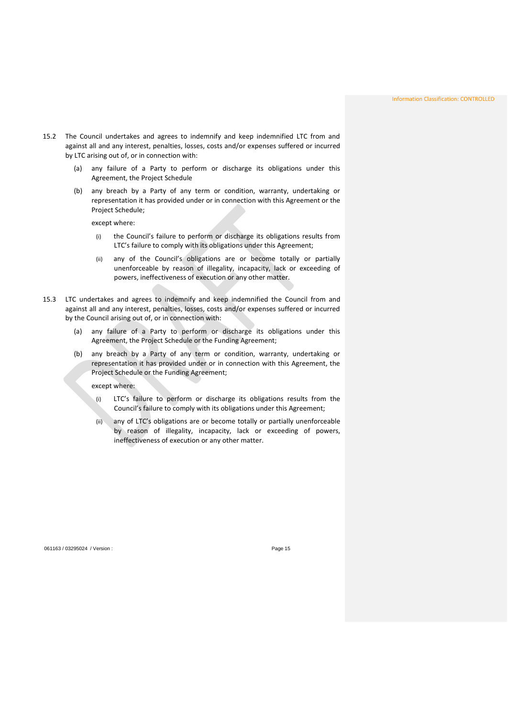- 15.2 The Council undertakes and agrees to indemnify and keep indemnified LTC from and against all and any interest, penalties, losses, costs and/or expenses suffered or incurred by LTC arising out of, or in connection with:
	- (a) any failure of a Party to perform or discharge its obligations under this Agreement, the Project Schedule
	- (b) any breach by a Party of any term or condition, warranty, undertaking or representation it has provided under or in connection with this Agreement or the Project Schedule;

except where:

- (i) the Council's failure to perform or discharge its obligations results from LTC's failure to comply with its obligations under this Agreement;
- (ii) any of the Council's obligations are or become totally or partially unenforceable by reason of illegality, incapacity, lack or exceeding of powers, ineffectiveness of execution or any other matter.
- 15.3 LTC undertakes and agrees to indemnify and keep indemnified the Council from and against all and any interest, penalties, losses, costs and/or expenses suffered or incurred by the Council arising out of, or in connection with:
	- (a) any failure of a Party to perform or discharge its obligations under this Agreement, the Project Schedule or the Funding Agreement;
	- (b) any breach by a Party of any term or condition, warranty, undertaking or representation it has provided under or in connection with this Agreement, the Project Schedule or the Funding Agreement;

except where:

- (i) LTC's failure to perform or discharge its obligations results from the Council's failure to comply with its obligations under this Agreement;
- (ii) any of LTC's obligations are or become totally or partially unenforceable by reason of illegality, incapacity, lack or exceeding of powers, ineffectiveness of execution or any other matter.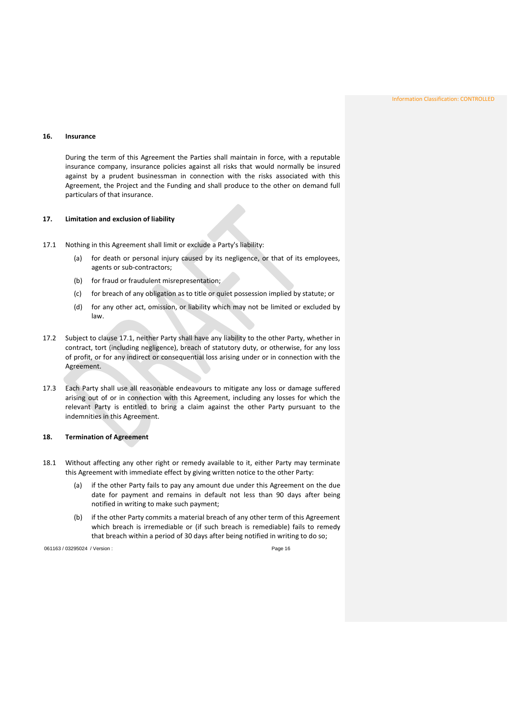### <span id="page-16-0"></span>**16. Insurance**

<span id="page-16-1"></span>During the term of this Agreement the Parties shall maintain in force, with a reputable insurance company, insurance policies against all risks that would normally be insured against by a prudent businessman in connection with the risks associated with this Agreement, the Project and the Funding and shall produce to the other on demand full particulars of that insurance.

## **17. Limitation and exclusion of liability**

- <span id="page-16-3"></span>17.1 Nothing in this Agreement shall limit or exclude a Party's liability:
	- (a) for death or personal injury caused by its negligence, or that of its employees, agents or sub-contractors;
	- (b) for fraud or fraudulent misrepresentation;
	- (c) for breach of any obligation as to title or quiet possession implied by statute; or
	- (d) for any other act, omission, or liability which may not be limited or excluded by law.
- 17.2 Subject to clause [17.1,](#page-16-3) neither Party shall have any liability to the other Party, whether in contract, tort (including negligence), breach of statutory duty, or otherwise, for any loss of profit, or for any indirect or consequential loss arising under or in connection with the Agreement.
- <span id="page-16-2"></span>17.3 Each Party shall use all reasonable endeavours to mitigate any loss or damage suffered arising out of or in connection with this Agreement, including any losses for which the relevant Party is entitled to bring a claim against the other Party pursuant to the indemnities in this Agreement.

### **18. Termination of Agreement**

- <span id="page-16-4"></span>18.1 Without affecting any other right or remedy available to it, either Party may terminate this Agreement with immediate effect by giving written notice to the other Party:
	- (a) if the other Party fails to pay any amount due under this Agreement on the due date for payment and remains in default not less than 90 days after being notified in writing to make such payment;
	- (b) if the other Party commits a material breach of any other term of this Agreement which breach is irremediable or (if such breach is remediable) fails to remedy that breach within a period of 30 days after being notified in writing to do so;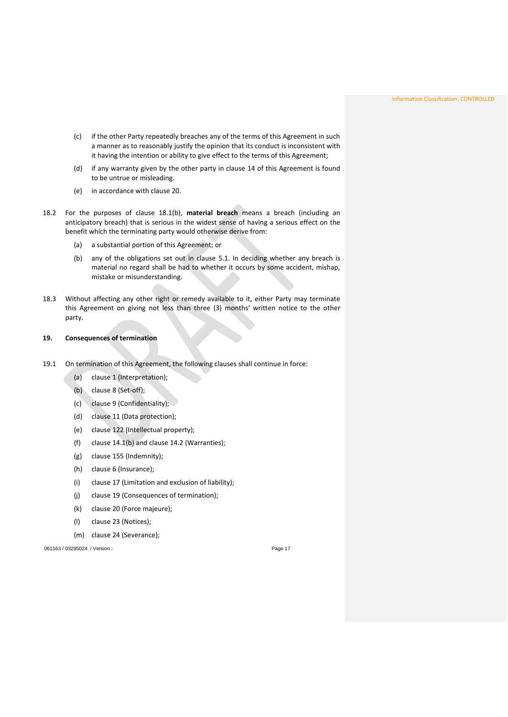- (c) if the other Party repeatedly breaches any of the terms of this Agreement in such a manner as to reasonably justify the opinion that its conduct is inconsistent with it having the intention or ability to give effect to the terms of this Agreement;
- (d) if any warranty given by the other party in clause [14](#page-14-2) of this Agreement is found to be untrue or misleading.
- (e) in accordance with clause 20.
- 18.2 For the purposes of clause [18.1\(b\),](#page-16-4) **material breach** means a breach (including an anticipatory breach) that is serious in the widest sense of having a serious effect on the benefit which the terminating party would otherwise derive from:
	- (a) a substantial portion of this Agreement; or
	- (b) any of the obligations set out in clause [5.1.](#page-7-3) In deciding whether any breach is material no regard shall be had to whether it occurs by some accident, mishap, mistake or misunderstanding.
- <span id="page-17-0"></span>18.3 Without affecting any other right or remedy available to it, either Party may terminate this Agreement on giving not less than three (3) months' written notice to the other party.

#### **19. Consequences of termination**

- 19.1 On termination of this Agreement, the following clauses shall continue in force:
	- (a) clause [1](#page-3-1) (Interpretation);
	- (b) clause 8 (Set-off);
	- (c) clause 9 (Confidentiality);
	- (d) clause 11 (Data protection);
	- (e) clause [122](#page-13-2) (Intellectual property);
	- (f) clause [14.1\(b\)](#page-14-3) and clause [14.2](#page-14-4) (Warranties);
	- (g) clause [155](#page-14-5) (Indemnity);
	- (h) clause 6 (Insurance);
	- (i) clause 17 (Limitation and exclusion of liability);
	- (j) clause 19 (Consequences of termination);
	- (k) clause 20 (Force majeure);
	- (l) clause 23 (Notices);
	- (m) clause 24 (Severance);

061163 / 03295024 / Version : exercise to a set of the exercise of the Page 17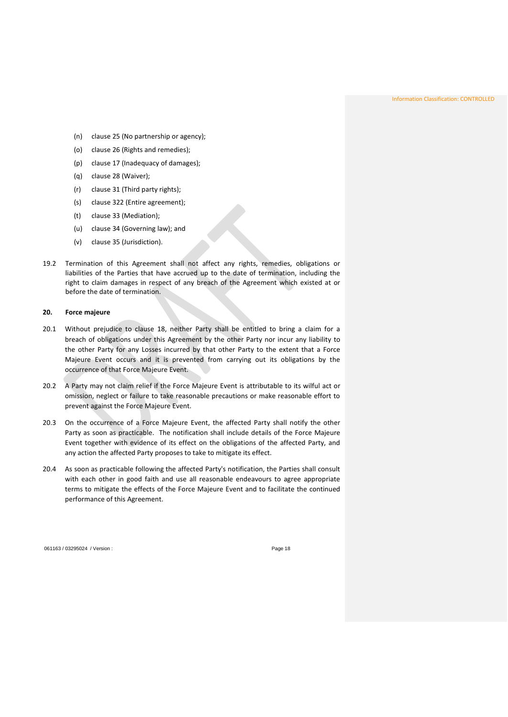Information Classification: CONTROLLED

- (n) clause 25 (No partnership or agency);
- (o) clause 26 (Rights and remedies);
- (p) clause 17 (Inadequacy of damages);
- (q) clause 28 (Waiver);
- (r) clause 31 (Third party rights);
- (s) clause [322](#page-21-4) (Entire agreement);
- (t) clause 33 (Mediation);
- (u) clause 34 (Governing law); and
- (v) clause 35 (Jurisdiction).
- <span id="page-18-0"></span>19.2 Termination of this Agreement shall not affect any rights, remedies, obligations or liabilities of the Parties that have accrued up to the date of termination, including the right to claim damages in respect of any breach of the Agreement which existed at or before the date of termination.

#### **20. Force majeure**

- 20.1 Without prejudice to clause 18, neither Party shall be entitled to bring a claim for a breach of obligations under this Agreement by the other Party nor incur any liability to the other Party for any Losses incurred by that other Party to the extent that a Force Majeure Event occurs and it is prevented from carrying out its obligations by the occurrence of that Force Majeure Event.
- 20.2 A Party may not claim relief if the Force Majeure Event is attributable to its wilful act or omission, neglect or failure to take reasonable precautions or make reasonable effort to prevent against the Force Majeure Event.
- 20.3 On the occurrence of a Force Majeure Event, the affected Party shall notify the other Party as soon as practicable. The notification shall include details of the Force Majeure Event together with evidence of its effect on the obligations of the affected Party, and any action the affected Party proposes to take to mitigate its effect.
- 20.4 As soon as practicable following the affected Party's notification, the Parties shall consult with each other in good faith and use all reasonable endeavours to agree appropriate terms to mitigate the effects of the Force Majeure Event and to facilitate the continued performance of this Agreement.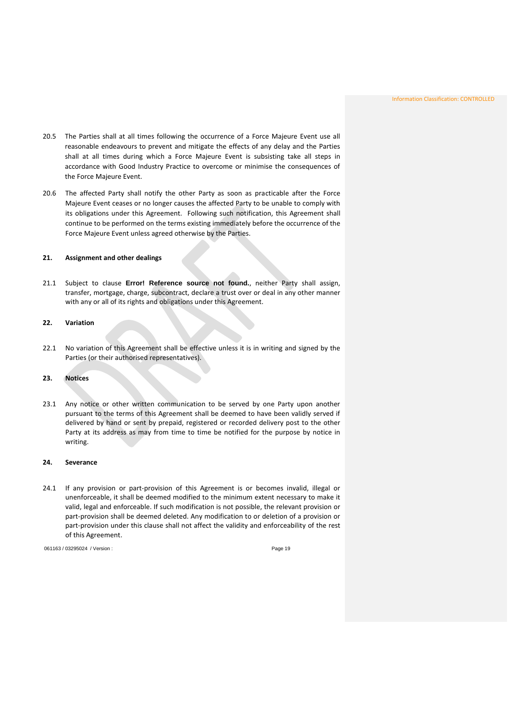- 20.5 The Parties shall at all times following the occurrence of a Force Majeure Event use all reasonable endeavours to prevent and mitigate the effects of any delay and the Parties shall at all times during which a Force Majeure Event is subsisting take all steps in accordance with Good Industry Practice to overcome or minimise the consequences of the Force Majeure Event.
- <span id="page-19-0"></span>20.6 The affected Party shall notify the other Party as soon as practicable after the Force Majeure Event ceases or no longer causes the affected Party to be unable to comply with its obligations under this Agreement. Following such notification, this Agreement shall continue to be performed on the terms existing immediately before the occurrence of the Force Majeure Event unless agreed otherwise by the Parties.

### <span id="page-19-1"></span>**21. Assignment and other dealings**

21.1 Subject to clause **Error! Reference source not found.**, neither Party shall assign, transfer, mortgage, charge, subcontract, declare a trust over or deal in any other manner with any or all of its rights and obligations under this Agreement.

### <span id="page-19-2"></span>**22. Variation**

22.1 No variation of this Agreement shall be effective unless it is in writing and signed by the Parties (or their authorised representatives).

## **23. Notices**

<span id="page-19-3"></span>23.1 Any notice or other written communication to be served by one Party upon another pursuant to the terms of this Agreement shall be deemed to have been validly served if delivered by hand or sent by prepaid, registered or recorded delivery post to the other Party at its address as may from time to time be notified for the purpose by notice in writing.

### **24. Severance**

24.1 If any provision or part-provision of this Agreement is or becomes invalid, illegal or unenforceable, it shall be deemed modified to the minimum extent necessary to make it valid, legal and enforceable. If such modification is not possible, the relevant provision or part-provision shall be deemed deleted. Any modification to or deletion of a provision or part-provision under this clause shall not affect the validity and enforceability of the rest of this Agreement.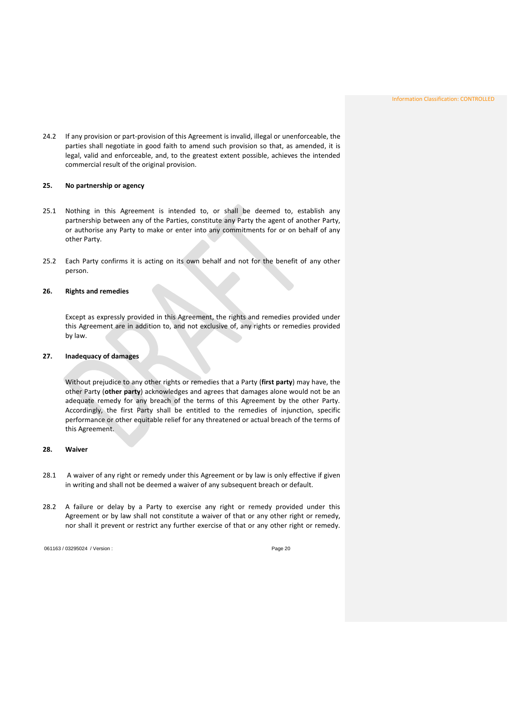<span id="page-20-0"></span>24.2 If any provision or part-provision of this Agreement is invalid, illegal or unenforceable, the parties shall negotiate in good faith to amend such provision so that, as amended, it is legal, valid and enforceable, and, to the greatest extent possible, achieves the intended commercial result of the original provision.

## **25. No partnership or agency**

- <span id="page-20-1"></span>25.1 Nothing in this Agreement is intended to, or shall be deemed to, establish any partnership between any of the Parties, constitute any Party the agent of another Party, or authorise any Party to make or enter into any commitments for or on behalf of any other Party.
- 25.2 Each Party confirms it is acting on its own behalf and not for the benefit of any other person.

### <span id="page-20-2"></span>**26. Rights and remedies**

Except as expressly provided in this Agreement, the rights and remedies provided under this Agreement are in addition to, and not exclusive of, any rights or remedies provided by law.

#### **27. Inadequacy of damages**

<span id="page-20-3"></span>Without prejudice to any other rights or remedies that a Party (**first party**) may have, the other Party (**other party**) acknowledges and agrees that damages alone would not be an adequate remedy for any breach of the terms of this Agreement by the other Party. Accordingly, the first Party shall be entitled to the remedies of injunction, specific performance or other equitable relief for any threatened or actual breach of the terms of this Agreement.

#### **28. Waiver**

- 28.1 A waiver of any right or remedy under this Agreement or by law is only effective if given in writing and shall not be deemed a waiver of any subsequent breach or default.
- 28.2 A failure or delay by a Party to exercise any right or remedy provided under this Agreement or by law shall not constitute a waiver of that or any other right or remedy, nor shall it prevent or restrict any further exercise of that or any other right or remedy.

061163 / 03295024 / Version : exercise to a set of the control of the Page 20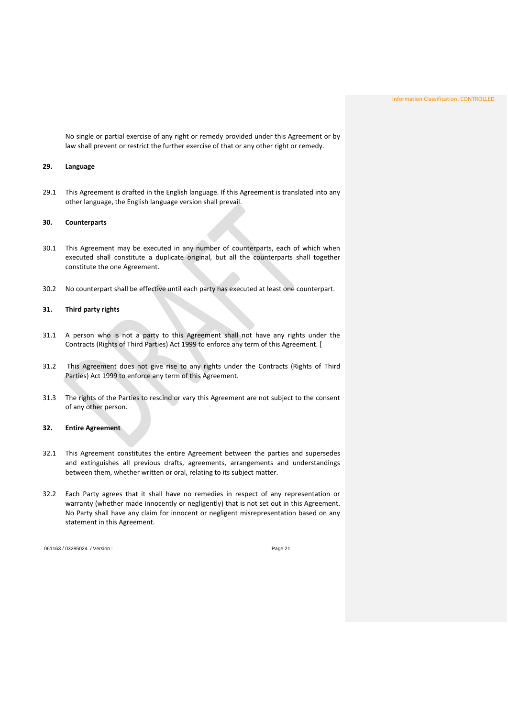<span id="page-21-0"></span>No single or partial exercise of any right or remedy provided under this Agreement or by law shall prevent or restrict the further exercise of that or any other right or remedy.

#### <span id="page-21-1"></span>**29. Language**

29.1 This Agreement is drafted in the English language. If this Agreement is translated into any other language, the English language version shall prevail.

### **30. Counterparts**

- <span id="page-21-2"></span>30.1 This Agreement may be executed in any number of counterparts, each of which when executed shall constitute a duplicate original, but all the counterparts shall together constitute the one Agreement.
- 30.2 No counterpart shall be effective until each party has executed at least one counterpart.

### **31. Third party rights**

- 31.1 A person who is not a party to this Agreement shall not have any rights under the Contracts (Rights of Third Parties) Act 1999 to enforce any term of this Agreement. [
- <span id="page-21-3"></span>31.2 This Agreement does not give rise to any rights under the Contracts (Rights of Third Parties) Act 1999 to enforce any term of this Agreement.
- 31.3 The rights of the Parties to rescind or vary this Agreement are not subject to the consent of any other person.

### <span id="page-21-4"></span>**32. Entire Agreement**

- 32.1 This Agreement constitutes the entire Agreement between the parties and supersedes and extinguishes all previous drafts, agreements, arrangements and understandings between them, whether written or oral, relating to its subject matter.
- 32.2 Each Party agrees that it shall have no remedies in respect of any representation or warranty (whether made innocently or negligently) that is not set out in this Agreement. No Party shall have any claim for innocent or negligent misrepresentation based on any statement in this Agreement.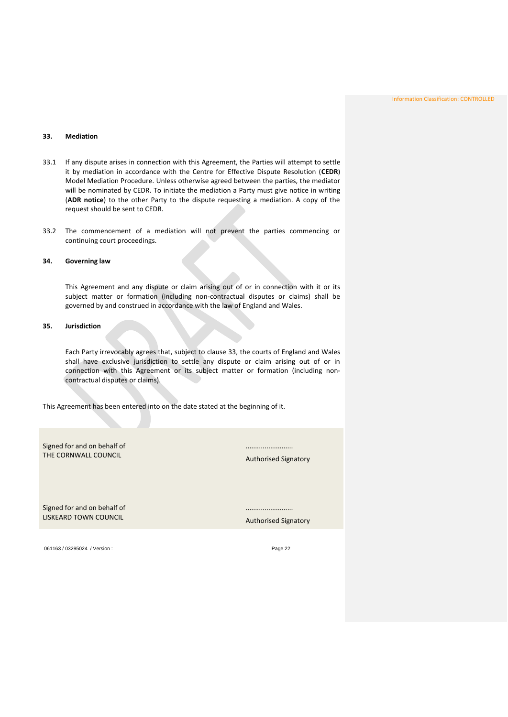# <span id="page-22-3"></span><span id="page-22-0"></span>**33. Mediation**

- 33.1 If any dispute arises in connection with this Agreement, the Parties will attempt to settle it by mediation in accordance with the Centre for Effective Dispute Resolution (**CEDR**) Model Mediation Procedure. Unless otherwise agreed between the parties, the mediator will be nominated by CEDR. To initiate the mediation a Party must give notice in writing (**ADR notice**) to the other Party to the dispute requesting a mediation. A copy of the request should be sent to CEDR.
- <span id="page-22-1"></span>33.2 The commencement of a mediation will not prevent the parties commencing or continuing court proceedings.

## <span id="page-22-2"></span>**34. Governing law**

This Agreement and any dispute or claim arising out of or in connection with it or its subject matter or formation (including non-contractual disputes or claims) shall be governed by and construed in accordance with the law of England and Wales.

#### **35. Jurisdiction**

Each Party irrevocably agrees that, subject to clause [33,](#page-22-3) the courts of England and Wales shall have exclusive jurisdiction to settle any dispute or claim arising out of or in connection with this Agreement or its subject matter or formation (including noncontractual disputes or claims).

This Agreement has been entered into on the date stated at the beginning of it.

Signed for and on behalf of THE CORNWALL COUNCIL

Authorised Signatory

.........................

Signed for and on behalf of LISKEARD TOWN COUNCIL

Authorised Signatory

.........................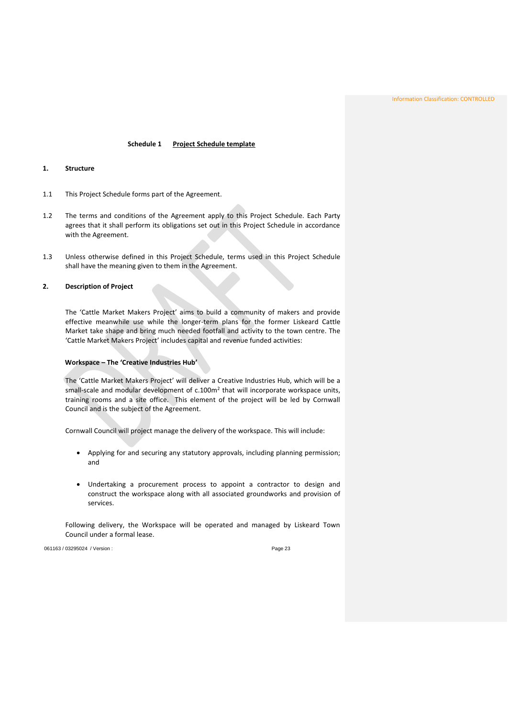Information Classification: CONTROLLED

## **Schedule 1 Project Schedule template**

#### <span id="page-23-1"></span><span id="page-23-0"></span>**1. Structure**

- 1.1 This Project Schedule forms part of the Agreement.
- <span id="page-23-2"></span>1.2 The terms and conditions of the Agreement apply to this Project Schedule. Each Party agrees that it shall perform its obligations set out in this Project Schedule in accordance with the Agreement.
- 1.3 Unless otherwise defined in this Project Schedule, terms used in this Project Schedule shall have the meaning given to them in the Agreement.

# **2. Description of Project**

The 'Cattle Market Makers Project' aims to build a community of makers and provide effective meanwhile use while the longer-term plans for the former Liskeard Cattle Market take shape and bring much needed footfall and activity to the town centre. The 'Cattle Market Makers Project' includes capital and revenue funded activities:

### **Workspace – The 'Creative Industries Hub'**

The 'Cattle Market Makers Project' will deliver a Creative Industries Hub, which will be a small-scale and modular development of c.100m<sup>2</sup> that will incorporate workspace units, training rooms and a site office. This element of the project will be led by Cornwall Council and is the subject of the Agreement.

Cornwall Council will project manage the delivery of the workspace. This will include:

- Applying for and securing any statutory approvals, including planning permission; and
- Undertaking a procurement process to appoint a contractor to design and construct the workspace along with all associated groundworks and provision of services.

Following delivery, the Workspace will be operated and managed by Liskeard Town Council under a formal lease.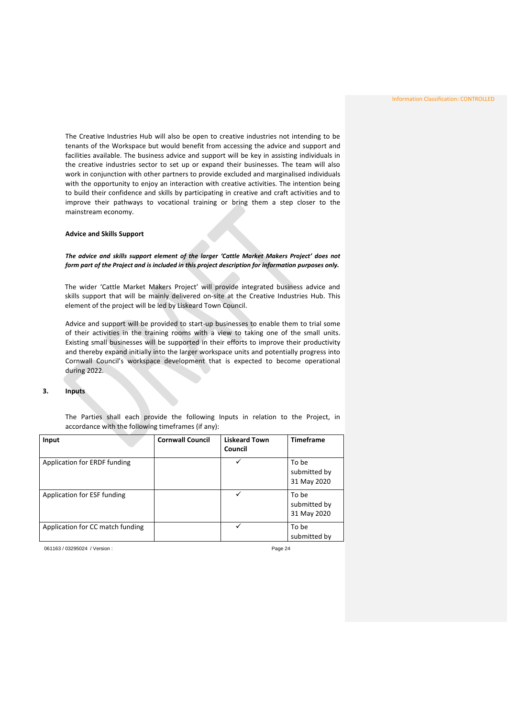The Creative Industries Hub will also be open to creative industries not intending to be tenants of the Workspace but would benefit from accessing the advice and support and facilities available. The business advice and support will be key in assisting individuals in the creative industries sector to set up or expand their businesses. The team will also work in conjunction with other partners to provide excluded and marginalised individuals with the opportunity to enjoy an interaction with creative activities. The intention being to build their confidence and skills by participating in creative and craft activities and to improve their pathways to vocational training or bring them a step closer to the mainstream economy.

#### **Advice and Skills Support**

*The advice and skills support element of the larger 'Cattle Market Makers Project' does not form part of the Project and is included in this project description for information purposes only.*

The wider 'Cattle Market Makers Project' will provide integrated business advice and skills support that will be mainly delivered on-site at the Creative Industries Hub. This element of the project will be led by Liskeard Town Council.

<span id="page-24-0"></span>Advice and support will be provided to start-up businesses to enable them to trial some of their activities in the training rooms with a view to taking one of the small units. Existing small businesses will be supported in their efforts to improve their productivity and thereby expand initially into the larger workspace units and potentially progress into Cornwall Council's workspace development that is expected to become operational during 2022*.* 

### **3. Inputs**

The Parties shall each provide the following Inputs in relation to the Project, in accordance with the following timeframes (if any):

| Input                            | <b>Cornwall Council</b> | <b>Liskeard Town</b><br>Council | <b>Timeframe</b>                     |
|----------------------------------|-------------------------|---------------------------------|--------------------------------------|
| Application for ERDF funding     |                         |                                 | To be<br>submitted by<br>31 May 2020 |
| Application for ESF funding      |                         |                                 | To be<br>submitted by<br>31 May 2020 |
| Application for CC match funding |                         | ✓                               | To be<br>submitted by                |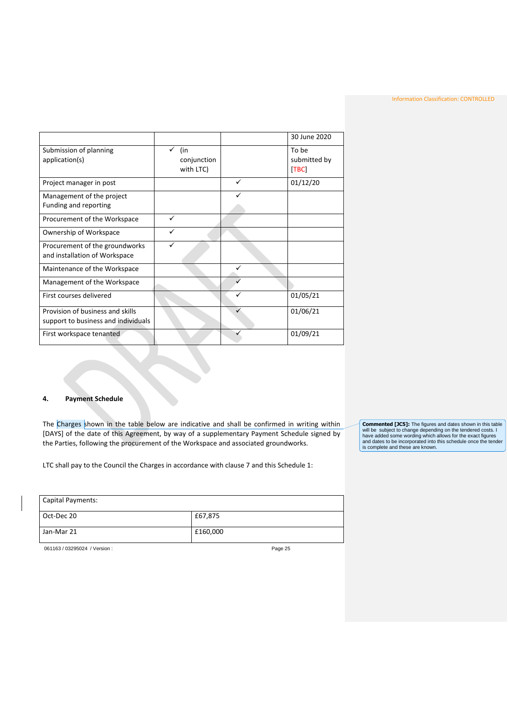|                                     |             |   | 30 June 2020 |
|-------------------------------------|-------------|---|--------------|
| Submission of planning              | (in<br>✓    |   | To be        |
| application(s)                      | conjunction |   | submitted by |
|                                     | with LTC)   |   | [TBC]        |
|                                     |             |   |              |
| Project manager in post             |             | ✓ | 01/12/20     |
| Management of the project           |             |   |              |
| Funding and reporting               |             |   |              |
| Procurement of the Workspace        | ✓           |   |              |
| Ownership of Workspace              | ✓           |   |              |
| Procurement of the groundworks      | ✓           |   |              |
| and installation of Workspace       |             |   |              |
| Maintenance of the Workspace        |             |   |              |
| Management of the Workspace         |             |   |              |
| First courses delivered             |             |   | 01/05/21     |
| Provision of business and skills    |             |   | 01/06/21     |
| support to business and individuals |             |   |              |
| First workspace tenanted            |             |   | 01/09/21     |
|                                     |             |   |              |

### <span id="page-25-0"></span>**4. Payment Schedule**

The Charges shown in the table below are indicative and shall be confirmed in writing within [DAYS] of the date of this Agreement, by way of a supplementary Payment Schedule signed by the Parties, following the procurement of the Workspace and associated groundworks.

LTC shall pay to the Council the Charges in accordance with clause 7 and this Schedule 1:

**Commented [JC5]:** The figures and dates shown in this table<br>will be subject to change depending on the tendered costs. I<br>have added some wording which allows for the exact figures<br>and dates to be incorporated into this sc

| Capital Payments:             |          |  |
|-------------------------------|----------|--|
| Oct-Dec 20                    | £67,875  |  |
| Jan-Mar 21                    | £160,000 |  |
| 061163 / 03295024 / Version : | Page 25  |  |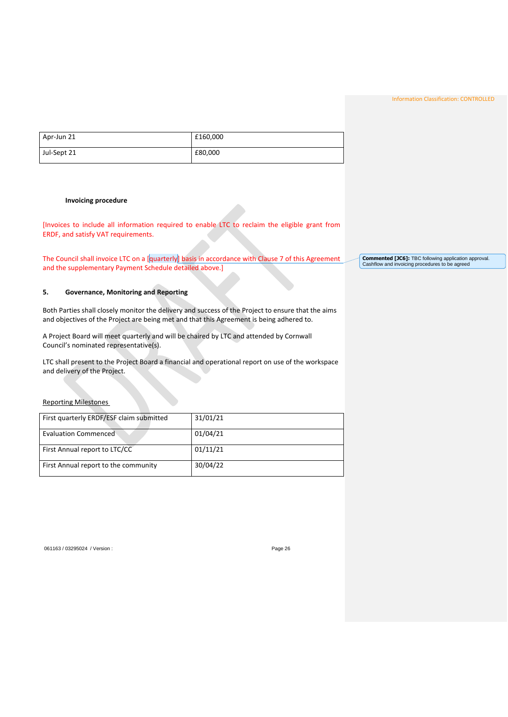<span id="page-26-0"></span>

| Apr-Jun 21  | £160,000 |
|-------------|----------|
| Jul-Sept 21 | £80,000  |

### **Invoicing procedure**

<span id="page-26-1"></span>[Invoices to include all information required to enable LTC to reclaim the eligible grant from ERDF, and satisfy VAT requirements.

The Council shall invoice LTC on a [quarterly] basis in accordance with Clause 7 of this Agreement and the supplementary Payment Schedule detailed above.]

## **5. Governance, Monitoring and Reporting**

Both Parties shall closely monitor the delivery and success of the Project to ensure that the aims and objectives of the Project are being met and that this Agreement is being adhered to.

A Project Board will meet quarterly and will be chaired by LTC and attended by Cornwall Council's nominated representative(s).

LTC shall present to the Project Board a financial and operational report on use of the workspace and delivery of the Project.

Reporting Milestones

| First quarterly ERDF/ESF claim submitted | 31/01/21 |
|------------------------------------------|----------|
| Evaluation Commenced                     | 01/04/21 |
| First Annual report to LTC/CC            | 01/11/21 |
| First Annual report to the community     | 30/04/22 |

061163 / 03295024 / Version : extendio to the control of the Page 26

**Commented [JC6]:** TBC following application approval. Cashflow and invoicing procedures to be agreed